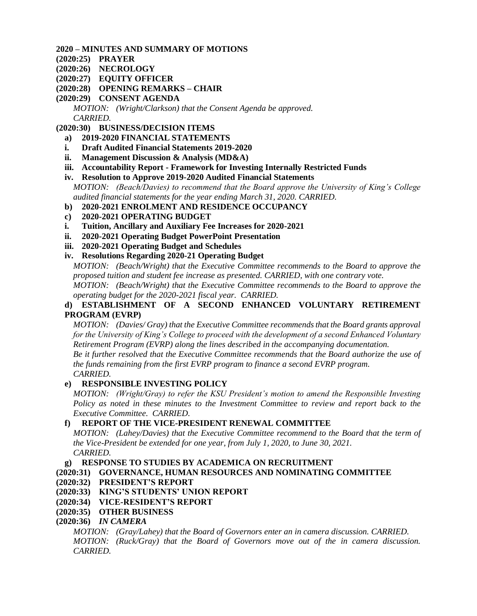### **2020 – MINUTES AND SUMMARY OF MOTIONS**

- **(2020:25) [PRAYER](#page-1-0)**
- **(2020:26) [NECROLOGY](#page-1-1)**
- **(2020:27) [EQUITY OFFICER](#page-1-2)**
- **(2020:28) [OPENING REMARKS –](#page-2-0) CHAIR**

**(2020:29) [CONSENT AGENDA](#page-2-1)** *MOTION: [\(Wright/Clarkson\) that the Consent Agenda be approved.](#page-2-2) [CARRIED.](#page-3-0)*

- **(2020:30) [BUSINESS/DECISION ITEMS](#page-3-1)**
	- **a) [2019-2020 FINANCIAL STATEMENTS](#page-3-2)**
	- **i. [Draft Audited Financial Statements 2019-2020](#page-3-3)**
	- **ii. [Management Discussion & Analysis \(MD&A\)](#page-3-4)**
	- **iii. Accountability Report - [Framework for Investing Internally Restricted Funds](#page-3-5)**
	- **iv. [Resolution to Approve 2019-2020 Audited Financial Statements](#page-3-6)**
	- *MOTION: [\(Beach/Davies\) to recommend that the Board approve the University of King's College](#page-4-0)  [audited financial statements for the year ending March 31, 2020. CARRIED.](#page-4-0)*
	- **b) [2020-2021 ENROLMENT AND RESIDENCE OCCUPANCY](#page-4-1)**
	- **c) [2020-2021 OPERATING BUDGET](#page-4-2)**
	- **i. [Tuition, Ancillary and Auxiliary Fee Increases for 2020-2021](#page-4-3)**
	- **ii. [2020-2021 Operating Budget PowerPoint Presentation](#page-5-0)**
	- **iii. [2020-2021 Operating Budget and Schedules](#page-6-0)**
	- **iv. [Resolutions Regarding 2020-21 Operating Budget](#page-6-1)**

*MOTION: [\(Beach/Wright\) that the Executive Committee recommends to the Board to approve the](#page-6-2)  [proposed tuition and student fee increase as presented. CARRIED, with one contrary vote.](#page-6-2)*

*[MOTION: \(Beach/Wright\) that the Executive Committee recommends to the Board to approve the](#page-7-0)  [operating budget for the 2020-2021 fiscal year. CARRIED.](#page-7-0)*

## **d) [ESTABLISHMENT OF A SECOND ENHANCED VOLUNTARY RETIREMENT](#page-7-1)  [PROGRAM \(EVRP\)](#page-7-1)**

*MOTION: [\(Davies/ Gray\) that the Executive Committee recommends that the Board grants approval](#page-7-2)  [for the University of King's College to proceed with the development of a second Enhanced Voluntary](#page-7-2)  [Retirement Program \(EVRP\) along the lines described in the accompanying documentation.](#page-7-2)*

*[Be it further resolved that the Executive Committee recommends that the Board authorize the use of](#page-7-3)  [the funds remaining from the first EVRP program to finance a second EVRP program.](#page-7-3) [CARRIED.](#page-7-4)*

# **e) [RESPONSIBLE INVESTING POLICY](#page-7-5)**

*MOTION: [\(Wright/Gray\) to refer the KSU President's motion to amend the Responsible Investing](#page-8-0)  [Policy as noted in these minutes to the Investment Committee to review and report back to the](#page-8-0)  [Executive Committee. CARRIED.](#page-8-0)*

# **f) [REPORT OF THE VICE-PRESIDENT RENEWAL COMMITTEE](#page-8-1)**

*MOTION: [\(Lahey/Davies\) that the Executive Committee recommend to the Board that the term of](#page-8-2)  [the Vice-President be extended for one year, from July 1, 2020, to June 30, 2021.](#page-8-2) [CARRIED.](#page-8-3)*

# **g) [RESPONSE TO STUDIES BY ACADEMICA ON RECRUITMENT](#page-8-4)**

- **(2020:31) [GOVERNANCE, HUMAN RESOURCES AND NOMINATING COMMITTEE](#page-9-0)**
- **(2020:32) [PRESIDENT'S REPORT](#page-9-1)**
- **(2020:33) [KING'S STUDENTS' UNION REPORT](#page-10-0)**
- **(2020:34) [VICE-RESIDENT'S REPORT](#page-11-0)**
- **(2020:35) [OTHER BUSINESS](#page-11-1)**
- **(2020:36)** *[IN CAMERA](#page-11-2)*

*[MOTION: \(Gray/Lahey\) that the Board of Governors enter an in camera discussion. CARRIED.](#page-11-3) [MOTION: \(Ruck/Gray\) that the Board of Governors move out of the in camera discussion.](#page-11-4)  [CARRIED.](#page-11-4)*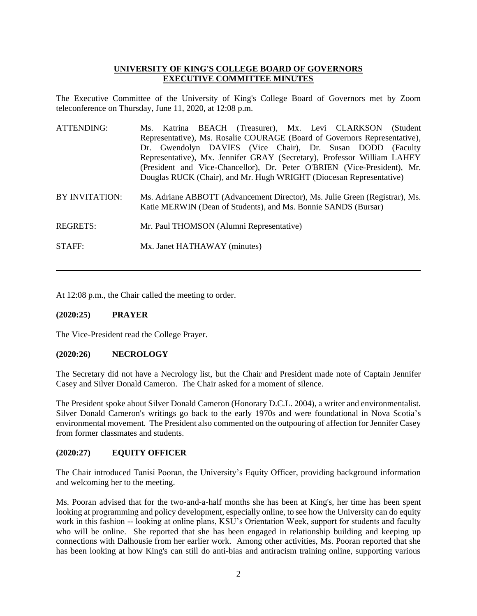### **UNIVERSITY OF KING'S COLLEGE BOARD OF GOVERNORS EXECUTIVE COMMITTEE MINUTES**

The Executive Committee of the University of King's College Board of Governors met by Zoom teleconference on Thursday, June 11, 2020, at 12:08 p.m.

| ATTENDING:      | Ms. Katrina BEACH (Treasurer), Mx. Levi CLARKSON (Student                   |
|-----------------|-----------------------------------------------------------------------------|
|                 | Representative), Ms. Rosalie COURAGE (Board of Governors Representative),   |
|                 | Dr. Gwendolyn DAVIES (Vice Chair), Dr. Susan DODD (Faculty                  |
|                 | Representative), Mx. Jennifer GRAY (Secretary), Professor William LAHEY     |
|                 | (President and Vice-Chancellor), Dr. Peter O'BRIEN (Vice-President), Mr.    |
|                 | Douglas RUCK (Chair), and Mr. Hugh WRIGHT (Diocesan Representative)         |
|                 |                                                                             |
| BY INVITATION:  | Ms. Adriane ABBOTT (Advancement Director), Ms. Julie Green (Registrar), Ms. |
|                 | Katie MERWIN (Dean of Students), and Ms. Bonnie SANDS (Bursar)              |
|                 |                                                                             |
| <b>REGRETS:</b> | Mr. Paul THOMSON (Alumni Representative)                                    |
|                 |                                                                             |
| STAFF:          | Mx. Janet HATHAWAY (minutes)                                                |

At 12:08 p.m., the Chair called the meeting to order.

#### <span id="page-1-0"></span>**(2020:25) PRAYER**

The Vice-President read the College Prayer.

#### <span id="page-1-1"></span>**(2020:26) NECROLOGY**

The Secretary did not have a Necrology list, but the Chair and President made note of Captain Jennifer Casey and Silver Donald Cameron. The Chair asked for a moment of silence.

The President spoke about Silver Donald Cameron (Honorary D.C.L. 2004), a writer and environmentalist. Silver Donald Cameron's writings go back to the early 1970s and were foundational in Nova Scotia's environmental movement. The President also commented on the outpouring of affection for Jennifer Casey from former classmates and students.

#### <span id="page-1-2"></span>**(2020:27) EQUITY OFFICER**

The Chair introduced Tanisi Pooran, the University's Equity Officer, providing background information and welcoming her to the meeting.

Ms. Pooran advised that for the two-and-a-half months she has been at King's, her time has been spent looking at programming and policy development, especially online, to see how the University can do equity work in this fashion -- looking at online plans, KSU's Orientation Week, support for students and faculty who will be online. She reported that she has been engaged in relationship building and keeping up connections with Dalhousie from her earlier work. Among other activities, Ms. Pooran reported that she has been looking at how King's can still do anti-bias and antiracism training online, supporting various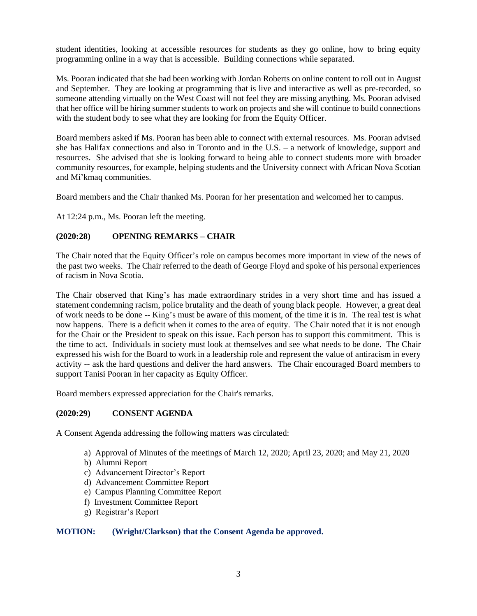student identities, looking at accessible resources for students as they go online, how to bring equity programming online in a way that is accessible. Building connections while separated.

Ms. Pooran indicated that she had been working with Jordan Roberts on online content to roll out in August and September. They are looking at programming that is live and interactive as well as pre-recorded, so someone attending virtually on the West Coast will not feel they are missing anything. Ms. Pooran advised that her office will be hiring summer students to work on projects and she will continue to build connections with the student body to see what they are looking for from the Equity Officer.

Board members asked if Ms. Pooran has been able to connect with external resources. Ms. Pooran advised she has Halifax connections and also in Toronto and in the U.S. – a network of knowledge, support and resources. She advised that she is looking forward to being able to connect students more with broader community resources, for example, helping students and the University connect with African Nova Scotian and Mi'kmaq communities.

Board members and the Chair thanked Ms. Pooran for her presentation and welcomed her to campus.

At 12:24 p.m., Ms. Pooran left the meeting.

### <span id="page-2-0"></span>**(2020:28) OPENING REMARKS – CHAIR**

The Chair noted that the Equity Officer's role on campus becomes more important in view of the news of the past two weeks. The Chair referred to the death of George Floyd and spoke of his personal experiences of racism in Nova Scotia.

The Chair observed that King's has made extraordinary strides in a very short time and has issued a statement condemning racism, police brutality and the death of young black people. However, a great deal of work needs to be done -- King's must be aware of this moment, of the time it is in. The real test is what now happens. There is a deficit when it comes to the area of equity. The Chair noted that it is not enough for the Chair or the President to speak on this issue. Each person has to support this commitment. This is the time to act. Individuals in society must look at themselves and see what needs to be done. The Chair expressed his wish for the Board to work in a leadership role and represent the value of antiracism in every activity -- ask the hard questions and deliver the hard answers. The Chair encouraged Board members to support Tanisi Pooran in her capacity as Equity Officer.

Board members expressed appreciation for the Chair's remarks.

#### <span id="page-2-1"></span>**(2020:29) CONSENT AGENDA**

A Consent Agenda addressing the following matters was circulated:

- a) Approval of Minutes of the meetings of March 12, 2020; April 23, 2020; and May 21, 2020
- b) Alumni Report
- c) Advancement Director's Report
- d) Advancement Committee Report
- e) Campus Planning Committee Report
- f) Investment Committee Report
- g) Registrar's Report

#### <span id="page-2-2"></span>**MOTION: (Wright/Clarkson) that the Consent Agenda be approved.**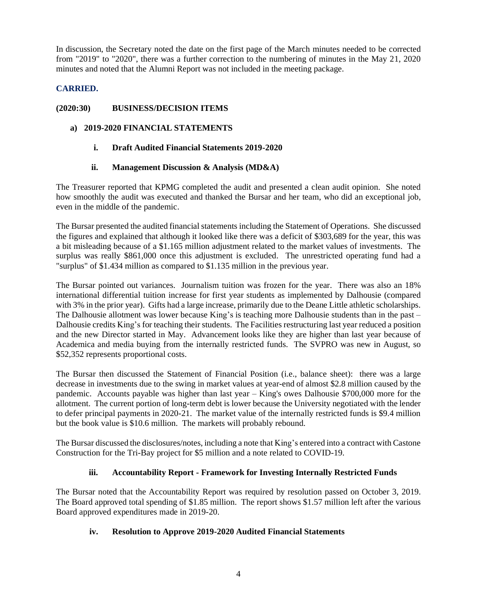In discussion, the Secretary noted the date on the first page of the March minutes needed to be corrected from "2019" to "2020", there was a further correction to the numbering of minutes in the May 21, 2020 minutes and noted that the Alumni Report was not included in the meeting package.

# <span id="page-3-0"></span>**CARRIED.**

## <span id="page-3-1"></span>**(2020:30) BUSINESS/DECISION ITEMS**

### <span id="page-3-3"></span><span id="page-3-2"></span>**a) 2019-2020 FINANCIAL STATEMENTS**

### **i. Draft Audited Financial Statements 2019-2020**

### **ii. Management Discussion & Analysis (MD&A)**

<span id="page-3-4"></span>The Treasurer reported that KPMG completed the audit and presented a clean audit opinion. She noted how smoothly the audit was executed and thanked the Bursar and her team, who did an exceptional job, even in the middle of the pandemic.

The Bursar presented the audited financial statements including the Statement of Operations. She discussed the figures and explained that although it looked like there was a deficit of \$303,689 for the year, this was a bit misleading because of a \$1.165 million adjustment related to the market values of investments. The surplus was really \$861,000 once this adjustment is excluded. The unrestricted operating fund had a "surplus" of \$1.434 million as compared to \$1.135 million in the previous year.

The Bursar pointed out variances. Journalism tuition was frozen for the year. There was also an 18% international differential tuition increase for first year students as implemented by Dalhousie (compared with 3% in the prior year). Gifts had a large increase, primarily due to the Deane Little athletic scholarships. The Dalhousie allotment was lower because King's is teaching more Dalhousie students than in the past – Dalhousie credits King's for teaching their students. The Facilities restructuring last year reduced a position and the new Director started in May. Advancement looks like they are higher than last year because of Academica and media buying from the internally restricted funds. The SVPRO was new in August, so \$52,352 represents proportional costs.

The Bursar then discussed the Statement of Financial Position (i.e., balance sheet): there was a large decrease in investments due to the swing in market values at year-end of almost \$2.8 million caused by the pandemic. Accounts payable was higher than last year – King's owes Dalhousie \$700,000 more for the allotment. The current portion of long-term debt is lower because the University negotiated with the lender to defer principal payments in 2020-21. The market value of the internally restricted funds is \$9.4 million but the book value is \$10.6 million. The markets will probably rebound.

The Bursar discussed the disclosures/notes, including a note that King's entered into a contract with Castone Construction for the Tri-Bay project for \$5 million and a note related to COVID-19.

# **iii. Accountability Report - Framework for Investing Internally Restricted Funds**

<span id="page-3-5"></span>The Bursar noted that the Accountability Report was required by resolution passed on October 3, 2019. The Board approved total spending of \$1.85 million. The report shows \$1.57 million left after the various Board approved expenditures made in 2019-20.

#### <span id="page-3-6"></span>**iv. Resolution to Approve 2019-2020 Audited Financial Statements**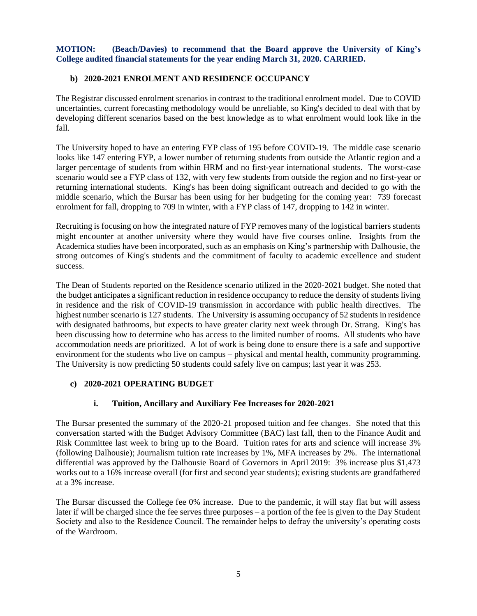<span id="page-4-0"></span>**MOTION: (Beach/Davies) to recommend that the Board approve the University of King's College audited financial statements for the year ending March 31, 2020. CARRIED.**

### <span id="page-4-1"></span>**b) 2020-2021 ENROLMENT AND RESIDENCE OCCUPANCY**

The Registrar discussed enrolment scenarios in contrast to the traditional enrolment model. Due to COVID uncertainties, current forecasting methodology would be unreliable, so King's decided to deal with that by developing different scenarios based on the best knowledge as to what enrolment would look like in the fall.

The University hoped to have an entering FYP class of 195 before COVID-19. The middle case scenario looks like 147 entering FYP, a lower number of returning students from outside the Atlantic region and a larger percentage of students from within HRM and no first-year international students. The worst-case scenario would see a FYP class of 132, with very few students from outside the region and no first-year or returning international students. King's has been doing significant outreach and decided to go with the middle scenario, which the Bursar has been using for her budgeting for the coming year: 739 forecast enrolment for fall, dropping to 709 in winter, with a FYP class of 147, dropping to 142 in winter.

Recruiting is focusing on how the integrated nature of FYP removes many of the logistical barriers students might encounter at another university where they would have five courses online. Insights from the Academica studies have been incorporated, such as an emphasis on King's partnership with Dalhousie, the strong outcomes of King's students and the commitment of faculty to academic excellence and student success.

The Dean of Students reported on the Residence scenario utilized in the 2020-2021 budget. She noted that the budget anticipates a significant reduction in residence occupancy to reduce the density of students living in residence and the risk of COVID-19 transmission in accordance with public health directives. The highest number scenario is 127 students. The University is assuming occupancy of 52 students in residence with designated bathrooms, but expects to have greater clarity next week through Dr. Strang. King's has been discussing how to determine who has access to the limited number of rooms. All students who have accommodation needs are prioritized. A lot of work is being done to ensure there is a safe and supportive environment for the students who live on campus – physical and mental health, community programming. The University is now predicting 50 students could safely live on campus; last year it was 253.

#### <span id="page-4-2"></span>**c) 2020-2021 OPERATING BUDGET**

#### **i. Tuition, Ancillary and Auxiliary Fee Increases for 2020-2021**

<span id="page-4-3"></span>The Bursar presented the summary of the 2020-21 proposed tuition and fee changes. She noted that this conversation started with the Budget Advisory Committee (BAC) last fall, then to the Finance Audit and Risk Committee last week to bring up to the Board. Tuition rates for arts and science will increase 3% (following Dalhousie); Journalism tuition rate increases by 1%, MFA increases by 2%. The international differential was approved by the Dalhousie Board of Governors in April 2019: 3% increase plus \$1,473 works out to a 16% increase overall (for first and second year students); existing students are grandfathered at a 3% increase.

The Bursar discussed the College fee 0% increase. Due to the pandemic, it will stay flat but will assess later if will be charged since the fee serves three purposes – a portion of the fee is given to the Day Student Society and also to the Residence Council. The remainder helps to defray the university's operating costs of the Wardroom.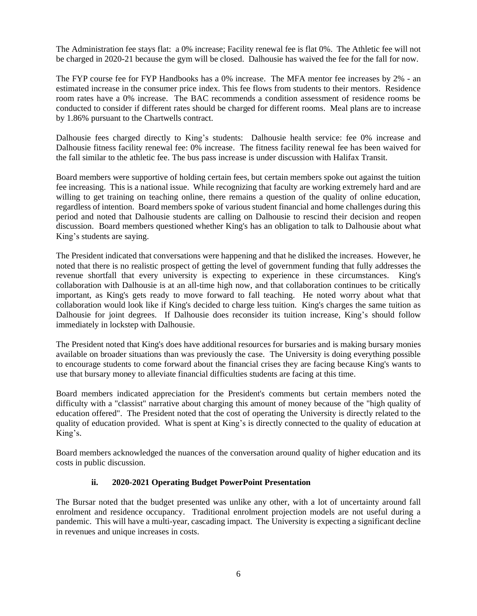The Administration fee stays flat: a 0% increase; Facility renewal fee is flat 0%. The Athletic fee will not be charged in 2020-21 because the gym will be closed. Dalhousie has waived the fee for the fall for now.

The FYP course fee for FYP Handbooks has a 0% increase. The MFA mentor fee increases by 2% - an estimated increase in the consumer price index. This fee flows from students to their mentors. Residence room rates have a 0% increase. The BAC recommends a condition assessment of residence rooms be conducted to consider if different rates should be charged for different rooms. Meal plans are to increase by 1.86% pursuant to the Chartwells contract.

Dalhousie fees charged directly to King's students: Dalhousie health service: fee 0% increase and Dalhousie fitness facility renewal fee: 0% increase. The fitness facility renewal fee has been waived for the fall similar to the athletic fee. The bus pass increase is under discussion with Halifax Transit.

Board members were supportive of holding certain fees, but certain members spoke out against the tuition fee increasing. This is a national issue. While recognizing that faculty are working extremely hard and are willing to get training on teaching online, there remains a question of the quality of online education, regardless of intention. Board members spoke of various student financial and home challenges during this period and noted that Dalhousie students are calling on Dalhousie to rescind their decision and reopen discussion. Board members questioned whether King's has an obligation to talk to Dalhousie about what King's students are saying.

The President indicated that conversations were happening and that he disliked the increases. However, he noted that there is no realistic prospect of getting the level of government funding that fully addresses the revenue shortfall that every university is expecting to experience in these circumstances. King's collaboration with Dalhousie is at an all-time high now, and that collaboration continues to be critically important, as King's gets ready to move forward to fall teaching. He noted worry about what that collaboration would look like if King's decided to charge less tuition. King's charges the same tuition as Dalhousie for joint degrees. If Dalhousie does reconsider its tuition increase, King's should follow immediately in lockstep with Dalhousie.

The President noted that King's does have additional resources for bursaries and is making bursary monies available on broader situations than was previously the case. The University is doing everything possible to encourage students to come forward about the financial crises they are facing because King's wants to use that bursary money to alleviate financial difficulties students are facing at this time.

Board members indicated appreciation for the President's comments but certain members noted the difficulty with a "classist" narrative about charging this amount of money because of the "high quality of education offered". The President noted that the cost of operating the University is directly related to the quality of education provided. What is spent at King's is directly connected to the quality of education at King's.

Board members acknowledged the nuances of the conversation around quality of higher education and its costs in public discussion.

#### **ii. 2020-2021 Operating Budget PowerPoint Presentation**

<span id="page-5-0"></span>The Bursar noted that the budget presented was unlike any other, with a lot of uncertainty around fall enrolment and residence occupancy. Traditional enrolment projection models are not useful during a pandemic. This will have a multi-year, cascading impact. The University is expecting a significant decline in revenues and unique increases in costs.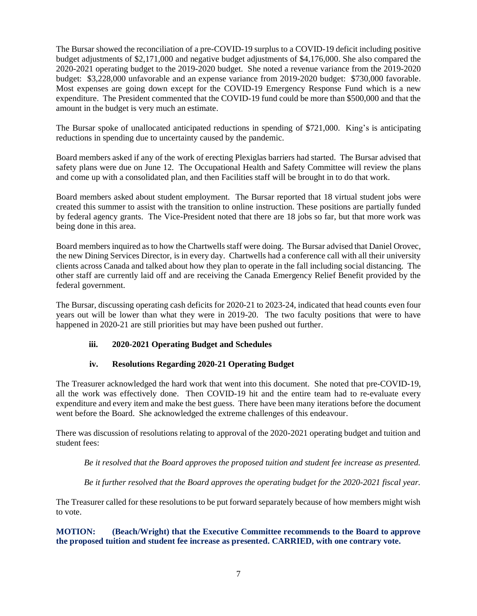The Bursar showed the reconciliation of a pre-COVID-19 surplus to a COVID-19 deficit including positive budget adjustments of \$2,171,000 and negative budget adjustments of \$4,176,000. She also compared the 2020-2021 operating budget to the 2019-2020 budget. She noted a revenue variance from the 2019-2020 budget: \$3,228,000 unfavorable and an expense variance from 2019-2020 budget: \$730,000 favorable. Most expenses are going down except for the COVID-19 Emergency Response Fund which is a new expenditure. The President commented that the COVID-19 fund could be more than \$500,000 and that the amount in the budget is very much an estimate.

The Bursar spoke of unallocated anticipated reductions in spending of \$721,000. King's is anticipating reductions in spending due to uncertainty caused by the pandemic.

Board members asked if any of the work of erecting Plexiglas barriers had started. The Bursar advised that safety plans were due on June 12. The Occupational Health and Safety Committee will review the plans and come up with a consolidated plan, and then Facilities staff will be brought in to do that work.

Board members asked about student employment. The Bursar reported that 18 virtual student jobs were created this summer to assist with the transition to online instruction. These positions are partially funded by federal agency grants. The Vice-President noted that there are 18 jobs so far, but that more work was being done in this area.

Board members inquired as to how the Chartwells staff were doing. The Bursar advised that Daniel Orovec, the new Dining Services Director, is in every day. Chartwells had a conference call with all their university clients across Canada and talked about how they plan to operate in the fall including social distancing. The other staff are currently laid off and are receiving the Canada Emergency Relief Benefit provided by the federal government.

The Bursar, discussing operating cash deficits for 2020-21 to 2023-24, indicated that head counts even four years out will be lower than what they were in 2019-20. The two faculty positions that were to have happened in 2020-21 are still priorities but may have been pushed out further.

# <span id="page-6-0"></span>**iii. 2020-2021 Operating Budget and Schedules**

# **iv. Resolutions Regarding 2020-21 Operating Budget**

<span id="page-6-1"></span>The Treasurer acknowledged the hard work that went into this document. She noted that pre-COVID-19, all the work was effectively done. Then COVID-19 hit and the entire team had to re-evaluate every expenditure and every item and make the best guess. There have been many iterations before the document went before the Board. She acknowledged the extreme challenges of this endeavour.

There was discussion of resolutions relating to approval of the 2020-2021 operating budget and tuition and student fees:

*Be it resolved that the Board approves the proposed tuition and student fee increase as presented.*

*Be it further resolved that the Board approves the operating budget for the 2020-2021 fiscal year.*

The Treasurer called for these resolutions to be put forward separately because of how members might wish to vote.

<span id="page-6-2"></span>**MOTION: (Beach/Wright) that the Executive Committee recommends to the Board to approve the proposed tuition and student fee increase as presented. CARRIED, with one contrary vote.**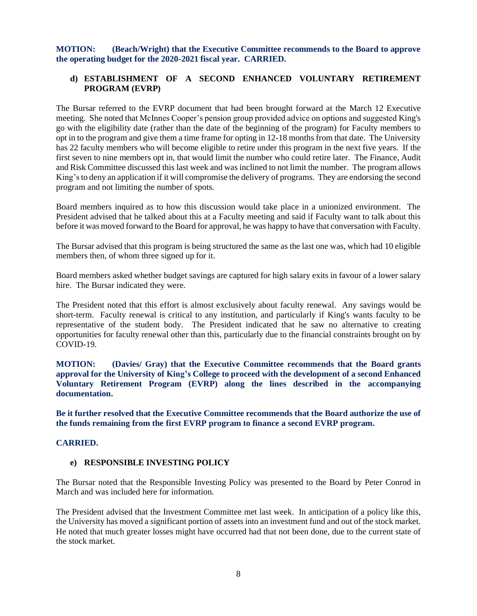<span id="page-7-0"></span>**MOTION: (Beach/Wright) that the Executive Committee recommends to the Board to approve the operating budget for the 2020-2021 fiscal year. CARRIED.** 

# <span id="page-7-1"></span>**d) ESTABLISHMENT OF A SECOND ENHANCED VOLUNTARY RETIREMENT PROGRAM (EVRP)**

The Bursar referred to the EVRP document that had been brought forward at the March 12 Executive meeting. She noted that McInnes Cooper's pension group provided advice on options and suggested King's go with the eligibility date (rather than the date of the beginning of the program) for Faculty members to opt in to the program and give them a time frame for opting in 12-18 months from that date. The University has 22 faculty members who will become eligible to retire under this program in the next five years. If the first seven to nine members opt in, that would limit the number who could retire later. The Finance, Audit and Risk Committee discussed this last week and was inclined to not limit the number. The program allows King'sto deny an application if it will compromise the delivery of programs. They are endorsing the second program and not limiting the number of spots.

Board members inquired as to how this discussion would take place in a unionized environment. The President advised that he talked about this at a Faculty meeting and said if Faculty want to talk about this before it was moved forward to the Board for approval, he was happy to have that conversation with Faculty.

The Bursar advised that this program is being structured the same as the last one was, which had 10 eligible members then, of whom three signed up for it.

Board members asked whether budget savings are captured for high salary exits in favour of a lower salary hire. The Bursar indicated they were.

The President noted that this effort is almost exclusively about faculty renewal. Any savings would be short-term. Faculty renewal is critical to any institution, and particularly if King's wants faculty to be representative of the student body. The President indicated that he saw no alternative to creating opportunities for faculty renewal other than this, particularly due to the financial constraints brought on by COVID-19.

<span id="page-7-2"></span>**MOTION: (Davies/ Gray) that the Executive Committee recommends that the Board grants approval for the University of King's College to proceed with the development of a second Enhanced Voluntary Retirement Program (EVRP) along the lines described in the accompanying documentation.**

<span id="page-7-3"></span>**Be it further resolved that the Executive Committee recommends that the Board authorize the use of the funds remaining from the first EVRP program to finance a second EVRP program.**

#### <span id="page-7-4"></span>**CARRIED.**

#### <span id="page-7-5"></span>**e) RESPONSIBLE INVESTING POLICY**

The Bursar noted that the Responsible Investing Policy was presented to the Board by Peter Conrod in March and was included here for information.

The President advised that the Investment Committee met last week. In anticipation of a policy like this, the University has moved a significant portion of assets into an investment fund and out of the stock market. He noted that much greater losses might have occurred had that not been done, due to the current state of the stock market.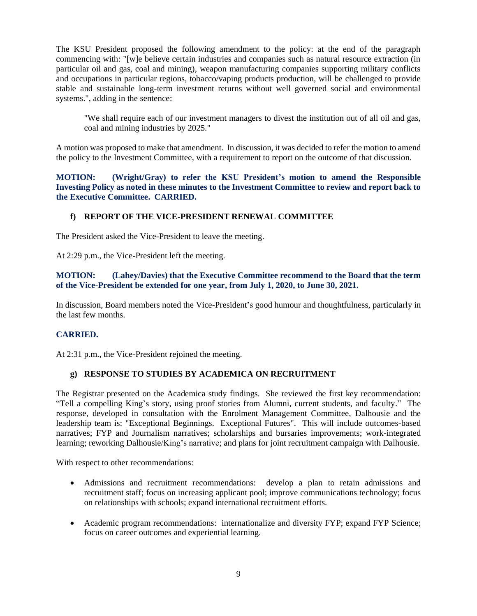The KSU President proposed the following amendment to the policy: at the end of the paragraph commencing with: "[w]e believe certain industries and companies such as natural resource extraction (in particular oil and gas, coal and mining), weapon manufacturing companies supporting military conflicts and occupations in particular regions, tobacco/vaping products production, will be challenged to provide stable and sustainable long-term investment returns without well governed social and environmental systems.", adding in the sentence:

"We shall require each of our investment managers to divest the institution out of all oil and gas, coal and mining industries by 2025."

A motion was proposed to make that amendment. In discussion, it was decided to refer the motion to amend the policy to the Investment Committee, with a requirement to report on the outcome of that discussion.

<span id="page-8-0"></span>**MOTION: (Wright/Gray) to refer the KSU President's motion to amend the Responsible Investing Policy as noted in these minutes to the Investment Committee to review and report back to the Executive Committee. CARRIED.**

### <span id="page-8-1"></span>**f) REPORT OF THE VICE-PRESIDENT RENEWAL COMMITTEE**

The President asked the Vice-President to leave the meeting.

At 2:29 p.m., the Vice-President left the meeting.

#### <span id="page-8-2"></span>**MOTION: (Lahey/Davies) that the Executive Committee recommend to the Board that the term of the Vice-President be extended for one year, from July 1, 2020, to June 30, 2021.**

In discussion, Board members noted the Vice-President's good humour and thoughtfulness, particularly in the last few months.

#### <span id="page-8-3"></span>**CARRIED.**

At 2:31 p.m., the Vice-President rejoined the meeting.

#### <span id="page-8-4"></span>**g) RESPONSE TO STUDIES BY ACADEMICA ON RECRUITMENT**

The Registrar presented on the Academica study findings. She reviewed the first key recommendation: "Tell a compelling King's story, using proof stories from Alumni, current students, and faculty." The response, developed in consultation with the Enrolment Management Committee, Dalhousie and the leadership team is: "Exceptional Beginnings. Exceptional Futures". This will include outcomes-based narratives; FYP and Journalism narratives; scholarships and bursaries improvements; work-integrated learning; reworking Dalhousie/King's narrative; and plans for joint recruitment campaign with Dalhousie.

With respect to other recommendations:

- Admissions and recruitment recommendations: develop a plan to retain admissions and recruitment staff; focus on increasing applicant pool; improve communications technology; focus on relationships with schools; expand international recruitment efforts.
- Academic program recommendations: internationalize and diversity FYP; expand FYP Science; focus on career outcomes and experiential learning.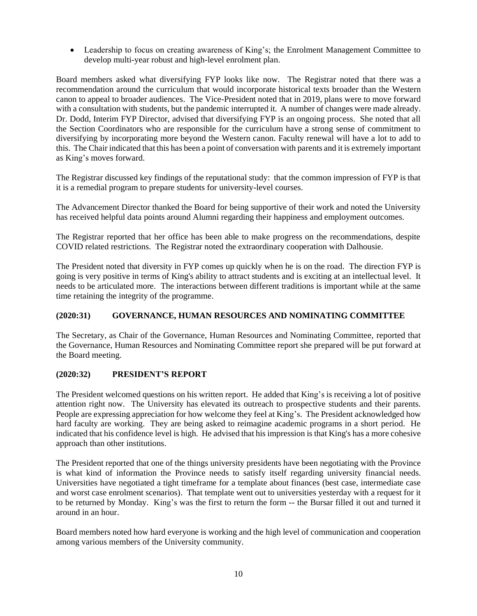• Leadership to focus on creating awareness of King's; the Enrolment Management Committee to develop multi-year robust and high-level enrolment plan.

Board members asked what diversifying FYP looks like now. The Registrar noted that there was a recommendation around the curriculum that would incorporate historical texts broader than the Western canon to appeal to broader audiences. The Vice-President noted that in 2019, plans were to move forward with a consultation with students, but the pandemic interrupted it. A number of changes were made already. Dr. Dodd, Interim FYP Director, advised that diversifying FYP is an ongoing process. She noted that all the Section Coordinators who are responsible for the curriculum have a strong sense of commitment to diversifying by incorporating more beyond the Western canon. Faculty renewal will have a lot to add to this. The Chair indicated that this has been a point of conversation with parents and it is extremely important as King's moves forward.

The Registrar discussed key findings of the reputational study: that the common impression of FYP is that it is a remedial program to prepare students for university-level courses.

The Advancement Director thanked the Board for being supportive of their work and noted the University has received helpful data points around Alumni regarding their happiness and employment outcomes.

The Registrar reported that her office has been able to make progress on the recommendations, despite COVID related restrictions. The Registrar noted the extraordinary cooperation with Dalhousie.

The President noted that diversity in FYP comes up quickly when he is on the road. The direction FYP is going is very positive in terms of King's ability to attract students and is exciting at an intellectual level. It needs to be articulated more. The interactions between different traditions is important while at the same time retaining the integrity of the programme.

# <span id="page-9-0"></span>**(2020:31) GOVERNANCE, HUMAN RESOURCES AND NOMINATING COMMITTEE**

The Secretary, as Chair of the Governance, Human Resources and Nominating Committee, reported that the Governance, Human Resources and Nominating Committee report she prepared will be put forward at the Board meeting.

#### <span id="page-9-1"></span>**(2020:32) PRESIDENT'S REPORT**

The President welcomed questions on his written report. He added that King's is receiving a lot of positive attention right now. The University has elevated its outreach to prospective students and their parents. People are expressing appreciation for how welcome they feel at King's. The President acknowledged how hard faculty are working. They are being asked to reimagine academic programs in a short period. He indicated that his confidence level is high. He advised that his impression is that King's has a more cohesive approach than other institutions.

The President reported that one of the things university presidents have been negotiating with the Province is what kind of information the Province needs to satisfy itself regarding university financial needs. Universities have negotiated a tight timeframe for a template about finances (best case, intermediate case and worst case enrolment scenarios). That template went out to universities yesterday with a request for it to be returned by Monday. King's was the first to return the form -- the Bursar filled it out and turned it around in an hour.

Board members noted how hard everyone is working and the high level of communication and cooperation among various members of the University community.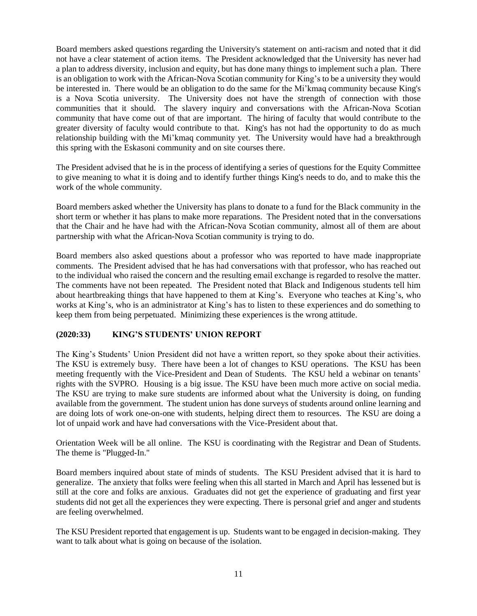Board members asked questions regarding the University's statement on anti-racism and noted that it did not have a clear statement of action items. The President acknowledged that the University has never had a plan to address diversity, inclusion and equity, but has done many things to implement such a plan. There is an obligation to work with the African-Nova Scotian community for King's to be a university they would be interested in. There would be an obligation to do the same for the Mi'kmaq community because King's is a Nova Scotia university. The University does not have the strength of connection with those communities that it should. The slavery inquiry and conversations with the African-Nova Scotian community that have come out of that are important. The hiring of faculty that would contribute to the greater diversity of faculty would contribute to that. King's has not had the opportunity to do as much relationship building with the Mi'kmaq community yet. The University would have had a breakthrough this spring with the Eskasoni community and on site courses there.

The President advised that he is in the process of identifying a series of questions for the Equity Committee to give meaning to what it is doing and to identify further things King's needs to do, and to make this the work of the whole community.

Board members asked whether the University has plans to donate to a fund for the Black community in the short term or whether it has plans to make more reparations. The President noted that in the conversations that the Chair and he have had with the African-Nova Scotian community, almost all of them are about partnership with what the African-Nova Scotian community is trying to do.

Board members also asked questions about a professor who was reported to have made inappropriate comments. The President advised that he has had conversations with that professor, who has reached out to the individual who raised the concern and the resulting email exchange is regarded to resolve the matter. The comments have not been repeated. The President noted that Black and Indigenous students tell him about heartbreaking things that have happened to them at King's. Everyone who teaches at King's, who works at King's, who is an administrator at King's has to listen to these experiences and do something to keep them from being perpetuated. Minimizing these experiences is the wrong attitude.

# <span id="page-10-0"></span>**(2020:33) KING'S STUDENTS' UNION REPORT**

The King's Students' Union President did not have a written report, so they spoke about their activities. The KSU is extremely busy. There have been a lot of changes to KSU operations. The KSU has been meeting frequently with the Vice-President and Dean of Students. The KSU held a webinar on tenants' rights with the SVPRO. Housing is a big issue. The KSU have been much more active on social media. The KSU are trying to make sure students are informed about what the University is doing, on funding available from the government. The student union has done surveys of students around online learning and are doing lots of work one-on-one with students, helping direct them to resources. The KSU are doing a lot of unpaid work and have had conversations with the Vice-President about that.

Orientation Week will be all online. The KSU is coordinating with the Registrar and Dean of Students. The theme is "Plugged-In."

Board members inquired about state of minds of students. The KSU President advised that it is hard to generalize. The anxiety that folks were feeling when this all started in March and April has lessened but is still at the core and folks are anxious. Graduates did not get the experience of graduating and first year students did not get all the experiences they were expecting. There is personal grief and anger and students are feeling overwhelmed.

The KSU President reported that engagement is up. Students want to be engaged in decision-making. They want to talk about what is going on because of the isolation.